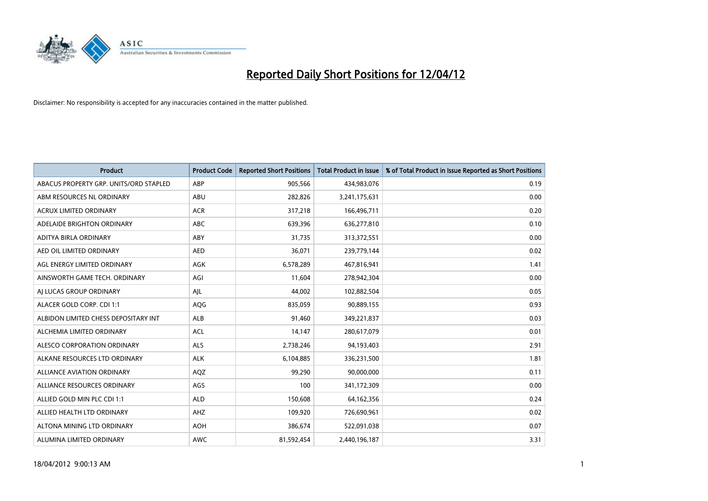

| <b>Product</b>                         | <b>Product Code</b> | <b>Reported Short Positions</b> | <b>Total Product in Issue</b> | % of Total Product in Issue Reported as Short Positions |
|----------------------------------------|---------------------|---------------------------------|-------------------------------|---------------------------------------------------------|
| ABACUS PROPERTY GRP. UNITS/ORD STAPLED | ABP                 | 905,566                         | 434,983,076                   | 0.19                                                    |
| ABM RESOURCES NL ORDINARY              | ABU                 | 282,826                         | 3,241,175,631                 | 0.00                                                    |
| <b>ACRUX LIMITED ORDINARY</b>          | <b>ACR</b>          | 317,218                         | 166,496,711                   | 0.20                                                    |
| ADELAIDE BRIGHTON ORDINARY             | <b>ABC</b>          | 639,396                         | 636,277,810                   | 0.10                                                    |
| ADITYA BIRLA ORDINARY                  | ABY                 | 31,735                          | 313,372,551                   | 0.00                                                    |
| AED OIL LIMITED ORDINARY               | <b>AED</b>          | 36,071                          | 239,779,144                   | 0.02                                                    |
| AGL ENERGY LIMITED ORDINARY            | AGK                 | 6,578,289                       | 467,816,941                   | 1.41                                                    |
| AINSWORTH GAME TECH. ORDINARY          | AGI                 | 11,604                          | 278,942,304                   | 0.00                                                    |
| AI LUCAS GROUP ORDINARY                | AJL                 | 44,002                          | 102,882,504                   | 0.05                                                    |
| ALACER GOLD CORP. CDI 1:1              | AQG                 | 835,059                         | 90,889,155                    | 0.93                                                    |
| ALBIDON LIMITED CHESS DEPOSITARY INT   | ALB                 | 91,460                          | 349,221,837                   | 0.03                                                    |
| ALCHEMIA LIMITED ORDINARY              | <b>ACL</b>          | 14,147                          | 280,617,079                   | 0.01                                                    |
| ALESCO CORPORATION ORDINARY            | ALS                 | 2,738,246                       | 94,193,403                    | 2.91                                                    |
| ALKANE RESOURCES LTD ORDINARY          | <b>ALK</b>          | 6,104,885                       | 336,231,500                   | 1.81                                                    |
| <b>ALLIANCE AVIATION ORDINARY</b>      | AQZ                 | 99,290                          | 90,000,000                    | 0.11                                                    |
| ALLIANCE RESOURCES ORDINARY            | AGS                 | 100                             | 341,172,309                   | 0.00                                                    |
| ALLIED GOLD MIN PLC CDI 1:1            | <b>ALD</b>          | 150,608                         | 64, 162, 356                  | 0.24                                                    |
| ALLIED HEALTH LTD ORDINARY             | AHZ                 | 109,920                         | 726,690,961                   | 0.02                                                    |
| ALTONA MINING LTD ORDINARY             | <b>AOH</b>          | 386,674                         | 522,091,038                   | 0.07                                                    |
| ALUMINA LIMITED ORDINARY               | <b>AWC</b>          | 81,592,454                      | 2,440,196,187                 | 3.31                                                    |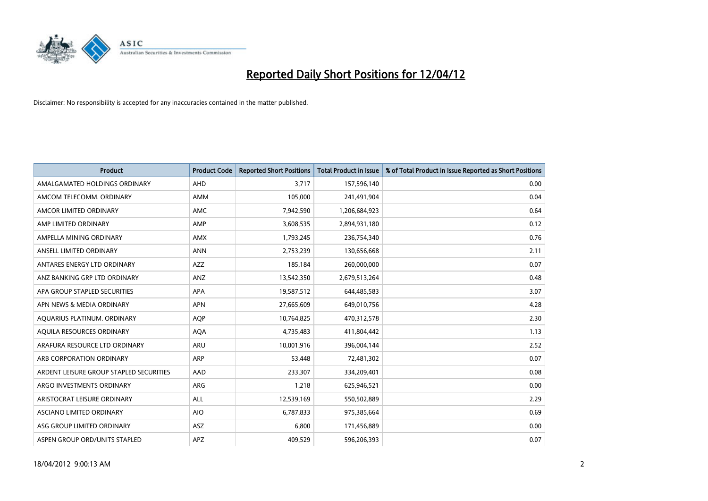

| <b>Product</b>                          | <b>Product Code</b> | <b>Reported Short Positions</b> | <b>Total Product in Issue</b> | % of Total Product in Issue Reported as Short Positions |
|-----------------------------------------|---------------------|---------------------------------|-------------------------------|---------------------------------------------------------|
| AMALGAMATED HOLDINGS ORDINARY           | AHD                 | 3.717                           | 157,596,140                   | 0.00                                                    |
| AMCOM TELECOMM, ORDINARY                | AMM                 | 105,000                         | 241,491,904                   | 0.04                                                    |
| AMCOR LIMITED ORDINARY                  | <b>AMC</b>          | 7,942,590                       | 1,206,684,923                 | 0.64                                                    |
| AMP LIMITED ORDINARY                    | AMP                 | 3,608,535                       | 2,894,931,180                 | 0.12                                                    |
| AMPELLA MINING ORDINARY                 | AMX                 | 1,793,245                       | 236,754,340                   | 0.76                                                    |
| ANSELL LIMITED ORDINARY                 | <b>ANN</b>          | 2,753,239                       | 130,656,668                   | 2.11                                                    |
| ANTARES ENERGY LTD ORDINARY             | AZZ                 | 185,184                         | 260,000,000                   | 0.07                                                    |
| ANZ BANKING GRP LTD ORDINARY            | ANZ                 | 13,542,350                      | 2,679,513,264                 | 0.48                                                    |
| APA GROUP STAPLED SECURITIES            | APA                 | 19,587,512                      | 644,485,583                   | 3.07                                                    |
| APN NEWS & MEDIA ORDINARY               | <b>APN</b>          | 27,665,609                      | 649,010,756                   | 4.28                                                    |
| AQUARIUS PLATINUM. ORDINARY             | AQP                 | 10,764,825                      | 470,312,578                   | 2.30                                                    |
| AQUILA RESOURCES ORDINARY               | <b>AQA</b>          | 4,735,483                       | 411,804,442                   | 1.13                                                    |
| ARAFURA RESOURCE LTD ORDINARY           | <b>ARU</b>          | 10,001,916                      | 396,004,144                   | 2.52                                                    |
| ARB CORPORATION ORDINARY                | ARP                 | 53,448                          | 72,481,302                    | 0.07                                                    |
| ARDENT LEISURE GROUP STAPLED SECURITIES | AAD                 | 233,307                         | 334,209,401                   | 0.08                                                    |
| ARGO INVESTMENTS ORDINARY               | ARG                 | 1,218                           | 625,946,521                   | 0.00                                                    |
| ARISTOCRAT LEISURE ORDINARY             | ALL                 | 12,539,169                      | 550,502,889                   | 2.29                                                    |
| ASCIANO LIMITED ORDINARY                | <b>AIO</b>          | 6,787,833                       | 975,385,664                   | 0.69                                                    |
| ASG GROUP LIMITED ORDINARY              | ASZ                 | 6,800                           | 171,456,889                   | 0.00                                                    |
| ASPEN GROUP ORD/UNITS STAPLED           | APZ                 | 409,529                         | 596,206,393                   | 0.07                                                    |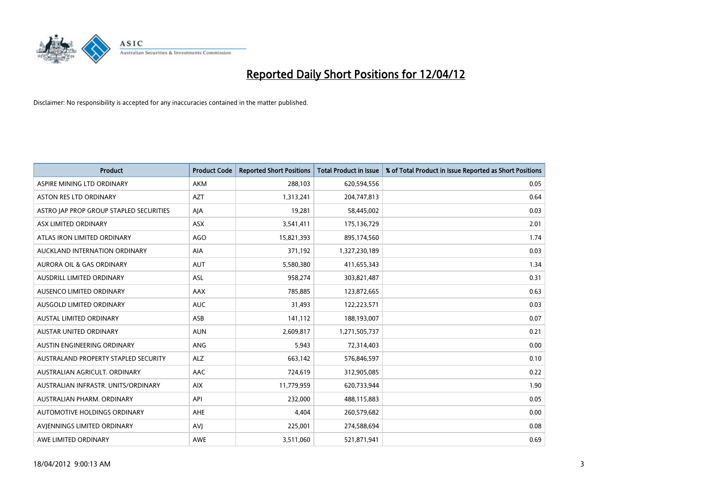

| <b>Product</b>                          | <b>Product Code</b> | <b>Reported Short Positions</b> | <b>Total Product in Issue</b> | % of Total Product in Issue Reported as Short Positions |
|-----------------------------------------|---------------------|---------------------------------|-------------------------------|---------------------------------------------------------|
| ASPIRE MINING LTD ORDINARY              | AKM                 | 288,103                         | 620,594,556                   | 0.05                                                    |
| ASTON RES LTD ORDINARY                  | <b>AZT</b>          | 1,313,241                       | 204,747,813                   | 0.64                                                    |
| ASTRO JAP PROP GROUP STAPLED SECURITIES | AJA                 | 19,281                          | 58,445,002                    | 0.03                                                    |
| ASX LIMITED ORDINARY                    | ASX                 | 3,541,411                       | 175,136,729                   | 2.01                                                    |
| ATLAS IRON LIMITED ORDINARY             | <b>AGO</b>          | 15,821,393                      | 895,174,560                   | 1.74                                                    |
| AUCKLAND INTERNATION ORDINARY           | AIA                 | 371,192                         | 1,327,230,189                 | 0.03                                                    |
| AURORA OIL & GAS ORDINARY               | <b>AUT</b>          | 5,580,380                       | 411,655,343                   | 1.34                                                    |
| AUSDRILL LIMITED ORDINARY               | ASL                 | 958,274                         | 303,821,487                   | 0.31                                                    |
| AUSENCO LIMITED ORDINARY                | AAX                 | 785,885                         | 123,872,665                   | 0.63                                                    |
| AUSGOLD LIMITED ORDINARY                | <b>AUC</b>          | 31,493                          | 122,223,571                   | 0.03                                                    |
| <b>AUSTAL LIMITED ORDINARY</b>          | ASB                 | 141,112                         | 188,193,007                   | 0.07                                                    |
| <b>AUSTAR UNITED ORDINARY</b>           | <b>AUN</b>          | 2,609,817                       | 1,271,505,737                 | 0.21                                                    |
| AUSTIN ENGINEERING ORDINARY             | ANG                 | 5,943                           | 72,314,403                    | 0.00                                                    |
| AUSTRALAND PROPERTY STAPLED SECURITY    | <b>ALZ</b>          | 663,142                         | 576,846,597                   | 0.10                                                    |
| AUSTRALIAN AGRICULT. ORDINARY           | AAC                 | 724,619                         | 312,905,085                   | 0.22                                                    |
| AUSTRALIAN INFRASTR, UNITS/ORDINARY     | <b>AIX</b>          | 11,779,959                      | 620,733,944                   | 1.90                                                    |
| AUSTRALIAN PHARM, ORDINARY              | API                 | 232,000                         | 488,115,883                   | 0.05                                                    |
| AUTOMOTIVE HOLDINGS ORDINARY            | AHE                 | 4,404                           | 260,579,682                   | 0.00                                                    |
| AVIENNINGS LIMITED ORDINARY             | <b>AVI</b>          | 225,001                         | 274,588,694                   | 0.08                                                    |
| AWE LIMITED ORDINARY                    | <b>AWE</b>          | 3,511,060                       | 521,871,941                   | 0.69                                                    |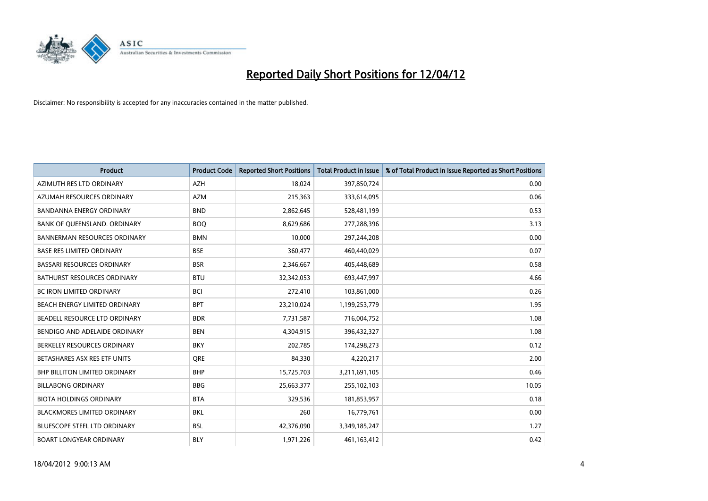

| <b>Product</b>                       | <b>Product Code</b> | <b>Reported Short Positions</b> | <b>Total Product in Issue</b> | % of Total Product in Issue Reported as Short Positions |
|--------------------------------------|---------------------|---------------------------------|-------------------------------|---------------------------------------------------------|
| AZIMUTH RES LTD ORDINARY             | <b>AZH</b>          | 18,024                          | 397,850,724                   | 0.00                                                    |
| AZUMAH RESOURCES ORDINARY            | <b>AZM</b>          | 215,363                         | 333,614,095                   | 0.06                                                    |
| <b>BANDANNA ENERGY ORDINARY</b>      | <b>BND</b>          | 2,862,645                       | 528,481,199                   | 0.53                                                    |
| BANK OF QUEENSLAND. ORDINARY         | <b>BOO</b>          | 8,629,686                       | 277,288,396                   | 3.13                                                    |
| <b>BANNERMAN RESOURCES ORDINARY</b>  | <b>BMN</b>          | 10,000                          | 297,244,208                   | 0.00                                                    |
| <b>BASE RES LIMITED ORDINARY</b>     | <b>BSE</b>          | 360,477                         | 460,440,029                   | 0.07                                                    |
| <b>BASSARI RESOURCES ORDINARY</b>    | <b>BSR</b>          | 2,346,667                       | 405,448,689                   | 0.58                                                    |
| BATHURST RESOURCES ORDINARY          | <b>BTU</b>          | 32,342,053                      | 693,447,997                   | 4.66                                                    |
| BC IRON LIMITED ORDINARY             | <b>BCI</b>          | 272,410                         | 103,861,000                   | 0.26                                                    |
| BEACH ENERGY LIMITED ORDINARY        | <b>BPT</b>          | 23,210,024                      | 1,199,253,779                 | 1.95                                                    |
| BEADELL RESOURCE LTD ORDINARY        | <b>BDR</b>          | 7,731,587                       | 716,004,752                   | 1.08                                                    |
| BENDIGO AND ADELAIDE ORDINARY        | <b>BEN</b>          | 4,304,915                       | 396,432,327                   | 1.08                                                    |
| BERKELEY RESOURCES ORDINARY          | <b>BKY</b>          | 202,785                         | 174,298,273                   | 0.12                                                    |
| BETASHARES ASX RES ETF UNITS         | <b>ORE</b>          | 84,330                          | 4,220,217                     | 2.00                                                    |
| <b>BHP BILLITON LIMITED ORDINARY</b> | <b>BHP</b>          | 15,725,703                      | 3,211,691,105                 | 0.46                                                    |
| <b>BILLABONG ORDINARY</b>            | <b>BBG</b>          | 25,663,377                      | 255,102,103                   | 10.05                                                   |
| <b>BIOTA HOLDINGS ORDINARY</b>       | <b>BTA</b>          | 329,536                         | 181,853,957                   | 0.18                                                    |
| <b>BLACKMORES LIMITED ORDINARY</b>   | <b>BKL</b>          | 260                             | 16,779,761                    | 0.00                                                    |
| <b>BLUESCOPE STEEL LTD ORDINARY</b>  | <b>BSL</b>          | 42,376,090                      | 3,349,185,247                 | 1.27                                                    |
| <b>BOART LONGYEAR ORDINARY</b>       | <b>BLY</b>          | 1,971,226                       | 461,163,412                   | 0.42                                                    |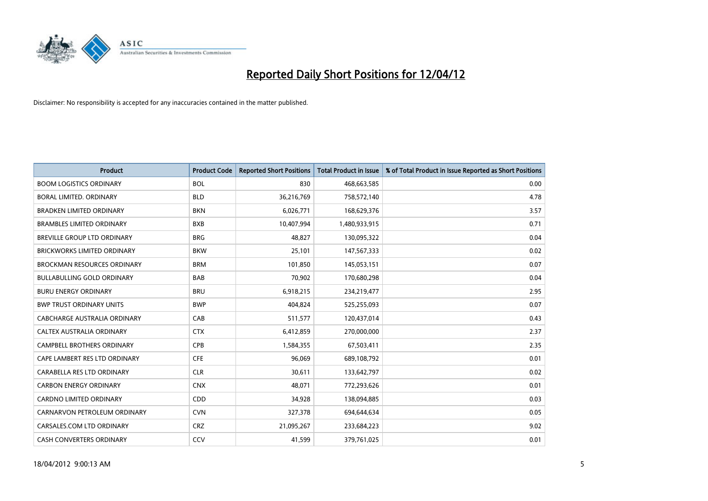

| <b>Product</b>                     | <b>Product Code</b> | <b>Reported Short Positions</b> | <b>Total Product in Issue</b> | % of Total Product in Issue Reported as Short Positions |
|------------------------------------|---------------------|---------------------------------|-------------------------------|---------------------------------------------------------|
| <b>BOOM LOGISTICS ORDINARY</b>     | <b>BOL</b>          | 830                             | 468,663,585                   | 0.00                                                    |
| <b>BORAL LIMITED, ORDINARY</b>     | <b>BLD</b>          | 36,216,769                      | 758,572,140                   | 4.78                                                    |
| <b>BRADKEN LIMITED ORDINARY</b>    | <b>BKN</b>          | 6,026,771                       | 168,629,376                   | 3.57                                                    |
| <b>BRAMBLES LIMITED ORDINARY</b>   | <b>BXB</b>          | 10,407,994                      | 1,480,933,915                 | 0.71                                                    |
| BREVILLE GROUP LTD ORDINARY        | <b>BRG</b>          | 48,827                          | 130,095,322                   | 0.04                                                    |
| <b>BRICKWORKS LIMITED ORDINARY</b> | <b>BKW</b>          | 25,101                          | 147,567,333                   | 0.02                                                    |
| <b>BROCKMAN RESOURCES ORDINARY</b> | <b>BRM</b>          | 101,850                         | 145,053,151                   | 0.07                                                    |
| <b>BULLABULLING GOLD ORDINARY</b>  | <b>BAB</b>          | 70,902                          | 170,680,298                   | 0.04                                                    |
| <b>BURU ENERGY ORDINARY</b>        | <b>BRU</b>          | 6,918,215                       | 234,219,477                   | 2.95                                                    |
| <b>BWP TRUST ORDINARY UNITS</b>    | <b>BWP</b>          | 404,824                         | 525,255,093                   | 0.07                                                    |
| CABCHARGE AUSTRALIA ORDINARY       | CAB                 | 511,577                         | 120,437,014                   | 0.43                                                    |
| CALTEX AUSTRALIA ORDINARY          | <b>CTX</b>          | 6,412,859                       | 270,000,000                   | 2.37                                                    |
| <b>CAMPBELL BROTHERS ORDINARY</b>  | <b>CPB</b>          | 1,584,355                       | 67,503,411                    | 2.35                                                    |
| CAPE LAMBERT RES LTD ORDINARY      | <b>CFE</b>          | 96,069                          | 689,108,792                   | 0.01                                                    |
| CARABELLA RES LTD ORDINARY         | <b>CLR</b>          | 30,611                          | 133,642,797                   | 0.02                                                    |
| <b>CARBON ENERGY ORDINARY</b>      | <b>CNX</b>          | 48,071                          | 772,293,626                   | 0.01                                                    |
| CARDNO LIMITED ORDINARY            | CDD                 | 34,928                          | 138,094,885                   | 0.03                                                    |
| CARNARVON PETROLEUM ORDINARY       | <b>CVN</b>          | 327,378                         | 694,644,634                   | 0.05                                                    |
| CARSALES.COM LTD ORDINARY          | <b>CRZ</b>          | 21,095,267                      | 233,684,223                   | 9.02                                                    |
| CASH CONVERTERS ORDINARY           | CCV                 | 41,599                          | 379,761,025                   | 0.01                                                    |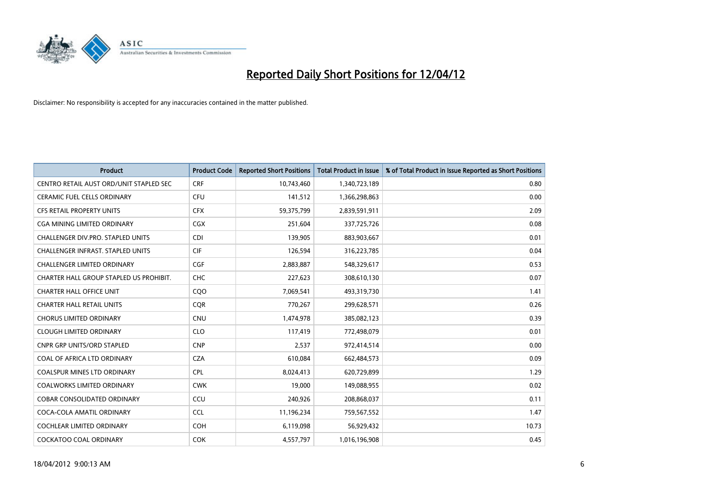

| Product                                  | <b>Product Code</b> | <b>Reported Short Positions</b> | <b>Total Product in Issue</b> | % of Total Product in Issue Reported as Short Positions |
|------------------------------------------|---------------------|---------------------------------|-------------------------------|---------------------------------------------------------|
| CENTRO RETAIL AUST ORD/UNIT STAPLED SEC  | <b>CRF</b>          | 10,743,460                      | 1,340,723,189                 | 0.80                                                    |
| CERAMIC FUEL CELLS ORDINARY              | <b>CFU</b>          | 141,512                         | 1,366,298,863                 | 0.00                                                    |
| <b>CFS RETAIL PROPERTY UNITS</b>         | <b>CFX</b>          | 59,375,799                      | 2,839,591,911                 | 2.09                                                    |
| CGA MINING LIMITED ORDINARY              | <b>CGX</b>          | 251,604                         | 337,725,726                   | 0.08                                                    |
| CHALLENGER DIV.PRO. STAPLED UNITS        | <b>CDI</b>          | 139,905                         | 883,903,667                   | 0.01                                                    |
| <b>CHALLENGER INFRAST, STAPLED UNITS</b> | <b>CIF</b>          | 126,594                         | 316,223,785                   | 0.04                                                    |
| <b>CHALLENGER LIMITED ORDINARY</b>       | <b>CGF</b>          | 2,883,887                       | 548,329,617                   | 0.53                                                    |
| CHARTER HALL GROUP STAPLED US PROHIBIT.  | <b>CHC</b>          | 227,623                         | 308,610,130                   | 0.07                                                    |
| <b>CHARTER HALL OFFICE UNIT</b>          | CQO                 | 7,069,541                       | 493,319,730                   | 1.41                                                    |
| <b>CHARTER HALL RETAIL UNITS</b>         | <b>COR</b>          | 770,267                         | 299,628,571                   | 0.26                                                    |
| <b>CHORUS LIMITED ORDINARY</b>           | <b>CNU</b>          | 1,474,978                       | 385,082,123                   | 0.39                                                    |
| <b>CLOUGH LIMITED ORDINARY</b>           | <b>CLO</b>          | 117,419                         | 772,498,079                   | 0.01                                                    |
| <b>CNPR GRP UNITS/ORD STAPLED</b>        | <b>CNP</b>          | 2,537                           | 972,414,514                   | 0.00                                                    |
| COAL OF AFRICA LTD ORDINARY              | <b>CZA</b>          | 610,084                         | 662,484,573                   | 0.09                                                    |
| <b>COALSPUR MINES LTD ORDINARY</b>       | <b>CPL</b>          | 8,024,413                       | 620,729,899                   | 1.29                                                    |
| COALWORKS LIMITED ORDINARY               | <b>CWK</b>          | 19,000                          | 149,088,955                   | 0.02                                                    |
| COBAR CONSOLIDATED ORDINARY              | CCU                 | 240,926                         | 208,868,037                   | 0.11                                                    |
| COCA-COLA AMATIL ORDINARY                | <b>CCL</b>          | 11,196,234                      | 759,567,552                   | 1.47                                                    |
| <b>COCHLEAR LIMITED ORDINARY</b>         | <b>COH</b>          | 6,119,098                       | 56,929,432                    | 10.73                                                   |
| COCKATOO COAL ORDINARY                   | <b>COK</b>          | 4,557,797                       | 1,016,196,908                 | 0.45                                                    |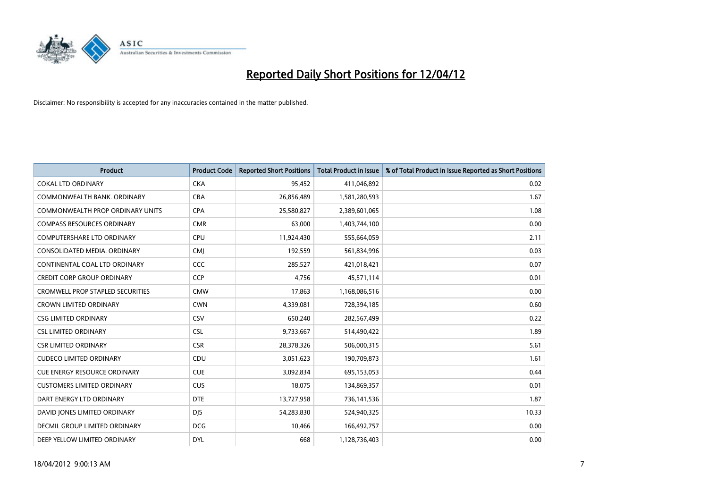

| <b>Product</b>                          | <b>Product Code</b> | <b>Reported Short Positions</b> | <b>Total Product in Issue</b> | % of Total Product in Issue Reported as Short Positions |
|-----------------------------------------|---------------------|---------------------------------|-------------------------------|---------------------------------------------------------|
| <b>COKAL LTD ORDINARY</b>               | <b>CKA</b>          | 95,452                          | 411,046,892                   | 0.02                                                    |
| COMMONWEALTH BANK, ORDINARY             | <b>CBA</b>          | 26,856,489                      | 1,581,280,593                 | 1.67                                                    |
| <b>COMMONWEALTH PROP ORDINARY UNITS</b> | <b>CPA</b>          | 25,580,827                      | 2,389,601,065                 | 1.08                                                    |
| <b>COMPASS RESOURCES ORDINARY</b>       | <b>CMR</b>          | 63,000                          | 1,403,744,100                 | 0.00                                                    |
| <b>COMPUTERSHARE LTD ORDINARY</b>       | <b>CPU</b>          | 11,924,430                      | 555,664,059                   | 2.11                                                    |
| CONSOLIDATED MEDIA, ORDINARY            | <b>CMI</b>          | 192,559                         | 561,834,996                   | 0.03                                                    |
| CONTINENTAL COAL LTD ORDINARY           | <b>CCC</b>          | 285,527                         | 421,018,421                   | 0.07                                                    |
| <b>CREDIT CORP GROUP ORDINARY</b>       | <b>CCP</b>          | 4,756                           | 45,571,114                    | 0.01                                                    |
| <b>CROMWELL PROP STAPLED SECURITIES</b> | <b>CMW</b>          | 17,863                          | 1,168,086,516                 | 0.00                                                    |
| <b>CROWN LIMITED ORDINARY</b>           | <b>CWN</b>          | 4,339,081                       | 728,394,185                   | 0.60                                                    |
| <b>CSG LIMITED ORDINARY</b>             | <b>CSV</b>          | 650,240                         | 282,567,499                   | 0.22                                                    |
| <b>CSL LIMITED ORDINARY</b>             | <b>CSL</b>          | 9,733,667                       | 514,490,422                   | 1.89                                                    |
| <b>CSR LIMITED ORDINARY</b>             | <b>CSR</b>          | 28,378,326                      | 506,000,315                   | 5.61                                                    |
| <b>CUDECO LIMITED ORDINARY</b>          | CDU                 | 3,051,623                       | 190,709,873                   | 1.61                                                    |
| <b>CUE ENERGY RESOURCE ORDINARY</b>     | <b>CUE</b>          | 3,092,834                       | 695,153,053                   | 0.44                                                    |
| <b>CUSTOMERS LIMITED ORDINARY</b>       | <b>CUS</b>          | 18,075                          | 134,869,357                   | 0.01                                                    |
| DART ENERGY LTD ORDINARY                | <b>DTE</b>          | 13,727,958                      | 736,141,536                   | 1.87                                                    |
| DAVID JONES LIMITED ORDINARY            | <b>DJS</b>          | 54,283,830                      | 524,940,325                   | 10.33                                                   |
| DECMIL GROUP LIMITED ORDINARY           | <b>DCG</b>          | 10,466                          | 166,492,757                   | 0.00                                                    |
| DEEP YELLOW LIMITED ORDINARY            | <b>DYL</b>          | 668                             | 1,128,736,403                 | 0.00                                                    |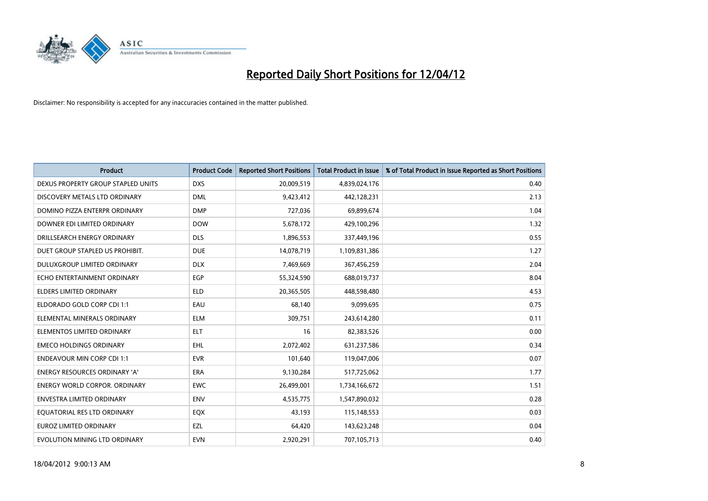

| <b>Product</b>                       | <b>Product Code</b> | <b>Reported Short Positions</b> | <b>Total Product in Issue</b> | % of Total Product in Issue Reported as Short Positions |
|--------------------------------------|---------------------|---------------------------------|-------------------------------|---------------------------------------------------------|
| DEXUS PROPERTY GROUP STAPLED UNITS   | <b>DXS</b>          | 20,009,519                      | 4,839,024,176                 | 0.40                                                    |
| DISCOVERY METALS LTD ORDINARY        | <b>DML</b>          | 9,423,412                       | 442,128,231                   | 2.13                                                    |
| DOMINO PIZZA ENTERPR ORDINARY        | <b>DMP</b>          | 727,036                         | 69,899,674                    | 1.04                                                    |
| DOWNER EDI LIMITED ORDINARY          | <b>DOW</b>          | 5,678,172                       | 429,100,296                   | 1.32                                                    |
| DRILLSEARCH ENERGY ORDINARY          | <b>DLS</b>          | 1,896,553                       | 337,449,196                   | 0.55                                                    |
| DUET GROUP STAPLED US PROHIBIT.      | <b>DUE</b>          | 14,078,719                      | 1,109,831,386                 | 1.27                                                    |
| <b>DULUXGROUP LIMITED ORDINARY</b>   | <b>DLX</b>          | 7,469,669                       | 367,456,259                   | 2.04                                                    |
| ECHO ENTERTAINMENT ORDINARY          | EGP                 | 55,324,590                      | 688,019,737                   | 8.04                                                    |
| <b>ELDERS LIMITED ORDINARY</b>       | <b>ELD</b>          | 20,365,505                      | 448,598,480                   | 4.53                                                    |
| ELDORADO GOLD CORP CDI 1:1           | EAU                 | 68,140                          | 9,099,695                     | 0.75                                                    |
| ELEMENTAL MINERALS ORDINARY          | <b>ELM</b>          | 309,751                         | 243,614,280                   | 0.11                                                    |
| ELEMENTOS LIMITED ORDINARY           | ELT                 | 16                              | 82,383,526                    | 0.00                                                    |
| <b>EMECO HOLDINGS ORDINARY</b>       | <b>EHL</b>          | 2,072,402                       | 631,237,586                   | 0.34                                                    |
| <b>ENDEAVOUR MIN CORP CDI 1:1</b>    | <b>EVR</b>          | 101,640                         | 119,047,006                   | 0.07                                                    |
| ENERGY RESOURCES ORDINARY 'A'        | ERA                 | 9,130,284                       | 517,725,062                   | 1.77                                                    |
| <b>ENERGY WORLD CORPOR, ORDINARY</b> | <b>EWC</b>          | 26,499,001                      | 1,734,166,672                 | 1.51                                                    |
| <b>ENVESTRA LIMITED ORDINARY</b>     | <b>ENV</b>          | 4,535,775                       | 1,547,890,032                 | 0.28                                                    |
| EQUATORIAL RES LTD ORDINARY          | EQX                 | 43.193                          | 115,148,553                   | 0.03                                                    |
| <b>EUROZ LIMITED ORDINARY</b>        | EZL                 | 64,420                          | 143,623,248                   | 0.04                                                    |
| EVOLUTION MINING LTD ORDINARY        | <b>EVN</b>          | 2,920,291                       | 707,105,713                   | 0.40                                                    |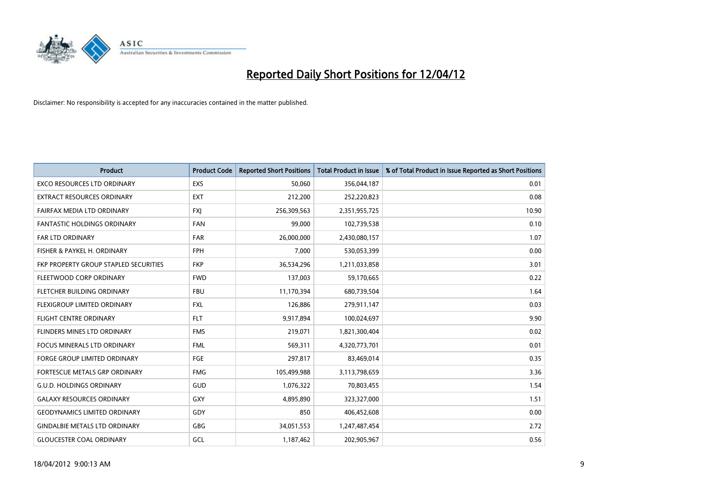

| <b>Product</b>                        | <b>Product Code</b> | <b>Reported Short Positions</b> | <b>Total Product in Issue</b> | % of Total Product in Issue Reported as Short Positions |
|---------------------------------------|---------------------|---------------------------------|-------------------------------|---------------------------------------------------------|
| <b>EXCO RESOURCES LTD ORDINARY</b>    | <b>EXS</b>          | 50,060                          | 356,044,187                   | 0.01                                                    |
| EXTRACT RESOURCES ORDINARY            | EXT                 | 212,200                         | 252,220,823                   | 0.08                                                    |
| FAIRFAX MEDIA LTD ORDINARY            | <b>FXI</b>          | 256,309,563                     | 2,351,955,725                 | 10.90                                                   |
| FANTASTIC HOLDINGS ORDINARY           | <b>FAN</b>          | 99,000                          | 102,739,538                   | 0.10                                                    |
| <b>FAR LTD ORDINARY</b>               | <b>FAR</b>          | 26,000,000                      | 2,430,080,157                 | 1.07                                                    |
| FISHER & PAYKEL H. ORDINARY           | <b>FPH</b>          | 7,000                           | 530,053,399                   | 0.00                                                    |
| FKP PROPERTY GROUP STAPLED SECURITIES | <b>FKP</b>          | 36,534,296                      | 1,211,033,858                 | 3.01                                                    |
| FLEETWOOD CORP ORDINARY               | <b>FWD</b>          | 137,003                         | 59,170,665                    | 0.22                                                    |
| FLETCHER BUILDING ORDINARY            | <b>FBU</b>          | 11,170,394                      | 680,739,504                   | 1.64                                                    |
| FLEXIGROUP LIMITED ORDINARY           | <b>FXL</b>          | 126,886                         | 279,911,147                   | 0.03                                                    |
| FLIGHT CENTRE ORDINARY                | <b>FLT</b>          | 9,917,894                       | 100,024,697                   | 9.90                                                    |
| FLINDERS MINES LTD ORDINARY           | <b>FMS</b>          | 219,071                         | 1,821,300,404                 | 0.02                                                    |
| <b>FOCUS MINERALS LTD ORDINARY</b>    | <b>FML</b>          | 569,311                         | 4,320,773,701                 | 0.01                                                    |
| <b>FORGE GROUP LIMITED ORDINARY</b>   | FGE                 | 297,817                         | 83,469,014                    | 0.35                                                    |
| FORTESCUE METALS GRP ORDINARY         | <b>FMG</b>          | 105,499,988                     | 3,113,798,659                 | 3.36                                                    |
| <b>G.U.D. HOLDINGS ORDINARY</b>       | GUD                 | 1,076,322                       | 70,803,455                    | 1.54                                                    |
| <b>GALAXY RESOURCES ORDINARY</b>      | GXY                 | 4,895,890                       | 323,327,000                   | 1.51                                                    |
| <b>GEODYNAMICS LIMITED ORDINARY</b>   | GDY                 | 850                             | 406,452,608                   | 0.00                                                    |
| <b>GINDALBIE METALS LTD ORDINARY</b>  | GBG                 | 34,051,553                      | 1,247,487,454                 | 2.72                                                    |
| <b>GLOUCESTER COAL ORDINARY</b>       | GCL                 | 1,187,462                       | 202,905,967                   | 0.56                                                    |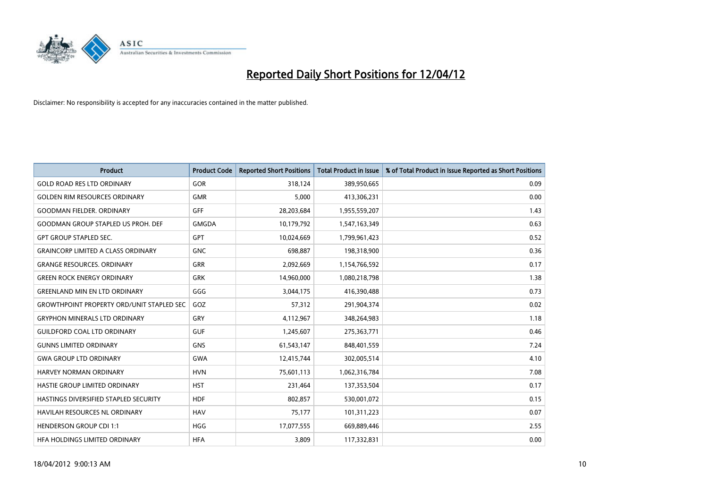

| <b>Product</b>                                   | <b>Product Code</b> | <b>Reported Short Positions</b> | <b>Total Product in Issue</b> | % of Total Product in Issue Reported as Short Positions |
|--------------------------------------------------|---------------------|---------------------------------|-------------------------------|---------------------------------------------------------|
| <b>GOLD ROAD RES LTD ORDINARY</b>                | <b>GOR</b>          | 318,124                         | 389,950,665                   | 0.09                                                    |
| <b>GOLDEN RIM RESOURCES ORDINARY</b>             | <b>GMR</b>          | 5,000                           | 413,306,231                   | 0.00                                                    |
| <b>GOODMAN FIELDER, ORDINARY</b>                 | GFF                 | 28,203,684                      | 1,955,559,207                 | 1.43                                                    |
| GOODMAN GROUP STAPLED US PROH. DEF               | <b>GMGDA</b>        | 10,179,792                      | 1,547,163,349                 | 0.63                                                    |
| <b>GPT GROUP STAPLED SEC.</b>                    | GPT                 | 10,024,669                      | 1,799,961,423                 | 0.52                                                    |
| <b>GRAINCORP LIMITED A CLASS ORDINARY</b>        | <b>GNC</b>          | 698,887                         | 198,318,900                   | 0.36                                                    |
| <b>GRANGE RESOURCES, ORDINARY</b>                | GRR                 | 2,092,669                       | 1,154,766,592                 | 0.17                                                    |
| <b>GREEN ROCK ENERGY ORDINARY</b>                | <b>GRK</b>          | 14,960,000                      | 1,080,218,798                 | 1.38                                                    |
| <b>GREENLAND MIN EN LTD ORDINARY</b>             | GGG                 | 3,044,175                       | 416,390,488                   | 0.73                                                    |
| <b>GROWTHPOINT PROPERTY ORD/UNIT STAPLED SEC</b> | GOZ                 | 57,312                          | 291,904,374                   | 0.02                                                    |
| <b>GRYPHON MINERALS LTD ORDINARY</b>             | GRY                 | 4,112,967                       | 348,264,983                   | 1.18                                                    |
| <b>GUILDFORD COAL LTD ORDINARY</b>               | <b>GUF</b>          | 1,245,607                       | 275,363,771                   | 0.46                                                    |
| <b>GUNNS LIMITED ORDINARY</b>                    | <b>GNS</b>          | 61,543,147                      | 848,401,559                   | 7.24                                                    |
| <b>GWA GROUP LTD ORDINARY</b>                    | GWA                 | 12,415,744                      | 302,005,514                   | 4.10                                                    |
| HARVEY NORMAN ORDINARY                           | <b>HVN</b>          | 75,601,113                      | 1,062,316,784                 | 7.08                                                    |
| HASTIE GROUP LIMITED ORDINARY                    | <b>HST</b>          | 231,464                         | 137,353,504                   | 0.17                                                    |
| HASTINGS DIVERSIFIED STAPLED SECURITY            | <b>HDF</b>          | 802,857                         | 530,001,072                   | 0.15                                                    |
| HAVILAH RESOURCES NL ORDINARY                    | <b>HAV</b>          | 75,177                          | 101,311,223                   | 0.07                                                    |
| <b>HENDERSON GROUP CDI 1:1</b>                   | <b>HGG</b>          | 17,077,555                      | 669,889,446                   | 2.55                                                    |
| HFA HOLDINGS LIMITED ORDINARY                    | <b>HFA</b>          | 3,809                           | 117,332,831                   | 0.00                                                    |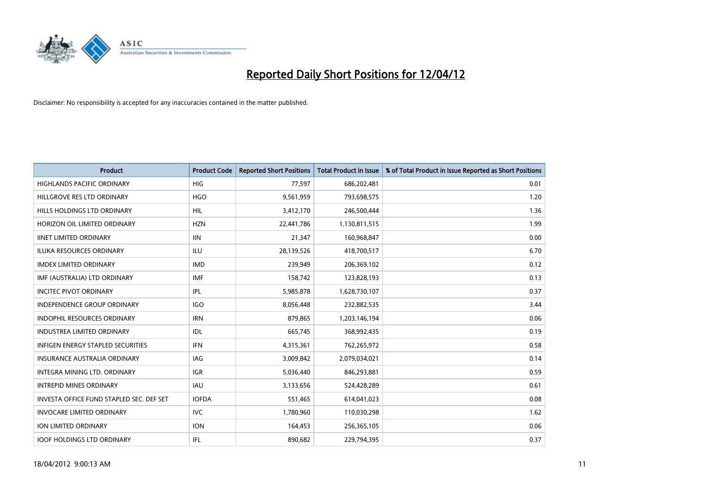

| <b>Product</b>                           | <b>Product Code</b> | <b>Reported Short Positions</b> | <b>Total Product in Issue</b> | % of Total Product in Issue Reported as Short Positions |
|------------------------------------------|---------------------|---------------------------------|-------------------------------|---------------------------------------------------------|
| <b>HIGHLANDS PACIFIC ORDINARY</b>        | <b>HIG</b>          | 77,597                          | 686,202,481                   | 0.01                                                    |
| HILLGROVE RES LTD ORDINARY               | <b>HGO</b>          | 9,561,959                       | 793,698,575                   | 1.20                                                    |
| HILLS HOLDINGS LTD ORDINARY              | <b>HIL</b>          | 3,412,170                       | 246,500,444                   | 1.36                                                    |
| HORIZON OIL LIMITED ORDINARY             | <b>HZN</b>          | 22,441,786                      | 1,130,811,515                 | 1.99                                                    |
| <b>IINET LIMITED ORDINARY</b>            | <b>IIN</b>          | 21,347                          | 160,968,847                   | 0.00                                                    |
| <b>ILUKA RESOURCES ORDINARY</b>          | ILU                 | 28,139,526                      | 418,700,517                   | 6.70                                                    |
| <b>IMDEX LIMITED ORDINARY</b>            | <b>IMD</b>          | 239,949                         | 206,369,102                   | 0.12                                                    |
| IMF (AUSTRALIA) LTD ORDINARY             | <b>IMF</b>          | 158,742                         | 123,828,193                   | 0.13                                                    |
| <b>INCITEC PIVOT ORDINARY</b>            | <b>IPL</b>          | 5,985,878                       | 1,628,730,107                 | 0.37                                                    |
| <b>INDEPENDENCE GROUP ORDINARY</b>       | <b>IGO</b>          | 8,056,448                       | 232,882,535                   | 3.44                                                    |
| <b>INDOPHIL RESOURCES ORDINARY</b>       | <b>IRN</b>          | 879,865                         | 1,203,146,194                 | 0.06                                                    |
| <b>INDUSTREA LIMITED ORDINARY</b>        | IDL                 | 665,745                         | 368,992,435                   | 0.19                                                    |
| <b>INFIGEN ENERGY STAPLED SECURITIES</b> | <b>IFN</b>          | 4,315,361                       | 762,265,972                   | 0.58                                                    |
| <b>INSURANCE AUSTRALIA ORDINARY</b>      | IAG                 | 3,009,842                       | 2,079,034,021                 | 0.14                                                    |
| INTEGRA MINING LTD, ORDINARY             | <b>IGR</b>          | 5,036,440                       | 846,293,881                   | 0.59                                                    |
| <b>INTREPID MINES ORDINARY</b>           | <b>IAU</b>          | 3,133,656                       | 524,428,289                   | 0.61                                                    |
| INVESTA OFFICE FUND STAPLED SEC. DEF SET | <b>IOFDA</b>        | 551,465                         | 614,041,023                   | 0.08                                                    |
| <b>INVOCARE LIMITED ORDINARY</b>         | <b>IVC</b>          | 1,780,960                       | 110,030,298                   | 1.62                                                    |
| <b>ION LIMITED ORDINARY</b>              | <b>ION</b>          | 164,453                         | 256,365,105                   | 0.06                                                    |
| <b>IOOF HOLDINGS LTD ORDINARY</b>        | IFL.                | 890,682                         | 229,794,395                   | 0.37                                                    |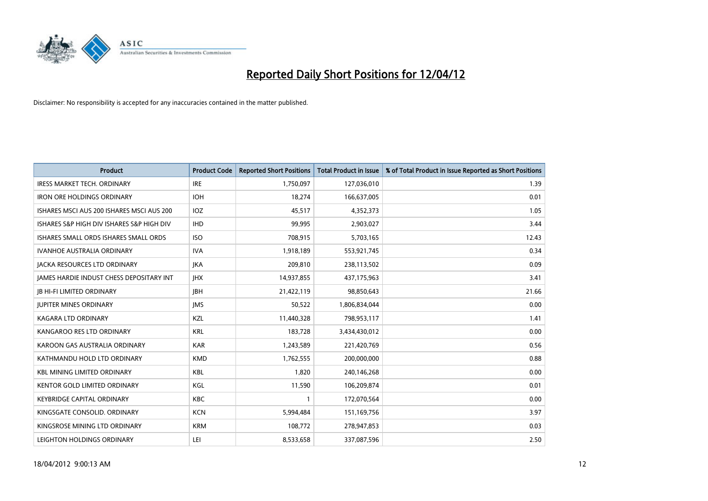

| <b>Product</b>                            | <b>Product Code</b> | <b>Reported Short Positions</b> | <b>Total Product in Issue</b> | % of Total Product in Issue Reported as Short Positions |
|-------------------------------------------|---------------------|---------------------------------|-------------------------------|---------------------------------------------------------|
| <b>IRESS MARKET TECH. ORDINARY</b>        | <b>IRE</b>          | 1,750,097                       | 127,036,010                   | 1.39                                                    |
| <b>IRON ORE HOLDINGS ORDINARY</b>         | <b>IOH</b>          | 18,274                          | 166,637,005                   | 0.01                                                    |
| ISHARES MSCI AUS 200 ISHARES MSCI AUS 200 | IOZ                 | 45,517                          | 4,352,373                     | 1.05                                                    |
| ISHARES S&P HIGH DIV ISHARES S&P HIGH DIV | <b>IHD</b>          | 99.995                          | 2,903,027                     | 3.44                                                    |
| ISHARES SMALL ORDS ISHARES SMALL ORDS     | <b>ISO</b>          | 708,915                         | 5,703,165                     | 12.43                                                   |
| <b>IVANHOE AUSTRALIA ORDINARY</b>         | <b>IVA</b>          | 1,918,189                       | 553,921,745                   | 0.34                                                    |
| JACKA RESOURCES LTD ORDINARY              | <b>JKA</b>          | 209,810                         | 238,113,502                   | 0.09                                                    |
| JAMES HARDIE INDUST CHESS DEPOSITARY INT  | <b>IHX</b>          | 14,937,855                      | 437,175,963                   | 3.41                                                    |
| <b>JB HI-FI LIMITED ORDINARY</b>          | <b>IBH</b>          | 21,422,119                      | 98,850,643                    | 21.66                                                   |
| <b>JUPITER MINES ORDINARY</b>             | <b>IMS</b>          | 50,522                          | 1,806,834,044                 | 0.00                                                    |
| KAGARA LTD ORDINARY                       | KZL                 | 11,440,328                      | 798,953,117                   | 1.41                                                    |
| KANGAROO RES LTD ORDINARY                 | <b>KRL</b>          | 183,728                         | 3,434,430,012                 | 0.00                                                    |
| KAROON GAS AUSTRALIA ORDINARY             | <b>KAR</b>          | 1,243,589                       | 221,420,769                   | 0.56                                                    |
| KATHMANDU HOLD LTD ORDINARY               | <b>KMD</b>          | 1,762,555                       | 200,000,000                   | 0.88                                                    |
| <b>KBL MINING LIMITED ORDINARY</b>        | <b>KBL</b>          | 1,820                           | 240,146,268                   | 0.00                                                    |
| <b>KENTOR GOLD LIMITED ORDINARY</b>       | KGL                 | 11,590                          | 106,209,874                   | 0.01                                                    |
| <b>KEYBRIDGE CAPITAL ORDINARY</b>         | <b>KBC</b>          | 1                               | 172,070,564                   | 0.00                                                    |
| KINGSGATE CONSOLID. ORDINARY              | <b>KCN</b>          | 5,994,484                       | 151,169,756                   | 3.97                                                    |
| KINGSROSE MINING LTD ORDINARY             | <b>KRM</b>          | 108,772                         | 278,947,853                   | 0.03                                                    |
| LEIGHTON HOLDINGS ORDINARY                | LEI                 | 8,533,658                       | 337,087,596                   | 2.50                                                    |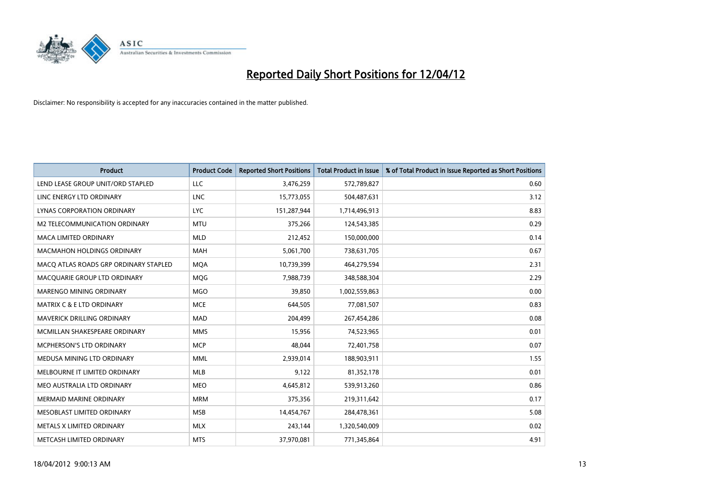

| <b>Product</b>                        | <b>Product Code</b> | <b>Reported Short Positions</b> | <b>Total Product in Issue</b> | % of Total Product in Issue Reported as Short Positions |
|---------------------------------------|---------------------|---------------------------------|-------------------------------|---------------------------------------------------------|
| LEND LEASE GROUP UNIT/ORD STAPLED     | <b>LLC</b>          | 3,476,259                       | 572,789,827                   | 0.60                                                    |
| LINC ENERGY LTD ORDINARY              | <b>LNC</b>          | 15,773,055                      | 504,487,631                   | 3.12                                                    |
| <b>LYNAS CORPORATION ORDINARY</b>     | <b>LYC</b>          | 151,287,944                     | 1,714,496,913                 | 8.83                                                    |
| M2 TELECOMMUNICATION ORDINARY         | <b>MTU</b>          | 375,266                         | 124,543,385                   | 0.29                                                    |
| <b>MACA LIMITED ORDINARY</b>          | <b>MLD</b>          | 212,452                         | 150,000,000                   | 0.14                                                    |
| <b>MACMAHON HOLDINGS ORDINARY</b>     | <b>MAH</b>          | 5,061,700                       | 738,631,705                   | 0.67                                                    |
| MACO ATLAS ROADS GRP ORDINARY STAPLED | <b>MOA</b>          | 10,739,399                      | 464,279,594                   | 2.31                                                    |
| MACQUARIE GROUP LTD ORDINARY          | MQG                 | 7,988,739                       | 348,588,304                   | 2.29                                                    |
| MARENGO MINING ORDINARY               | <b>MGO</b>          | 39,850                          | 1,002,559,863                 | 0.00                                                    |
| <b>MATRIX C &amp; E LTD ORDINARY</b>  | <b>MCE</b>          | 644,505                         | 77,081,507                    | 0.83                                                    |
| MAVERICK DRILLING ORDINARY            | <b>MAD</b>          | 204,499                         | 267,454,286                   | 0.08                                                    |
| MCMILLAN SHAKESPEARE ORDINARY         | <b>MMS</b>          | 15,956                          | 74,523,965                    | 0.01                                                    |
| MCPHERSON'S LTD ORDINARY              | <b>MCP</b>          | 48,044                          | 72,401,758                    | 0.07                                                    |
| MEDUSA MINING LTD ORDINARY            | <b>MML</b>          | 2,939,014                       | 188,903,911                   | 1.55                                                    |
| MELBOURNE IT LIMITED ORDINARY         | <b>MLB</b>          | 9,122                           | 81,352,178                    | 0.01                                                    |
| MEO AUSTRALIA LTD ORDINARY            | <b>MEO</b>          | 4,645,812                       | 539,913,260                   | 0.86                                                    |
| MERMAID MARINE ORDINARY               | <b>MRM</b>          | 375,356                         | 219,311,642                   | 0.17                                                    |
| MESOBLAST LIMITED ORDINARY            | <b>MSB</b>          | 14,454,767                      | 284,478,361                   | 5.08                                                    |
| METALS X LIMITED ORDINARY             | <b>MLX</b>          | 243,144                         | 1,320,540,009                 | 0.02                                                    |
| METCASH LIMITED ORDINARY              | <b>MTS</b>          | 37,970,081                      | 771,345,864                   | 4.91                                                    |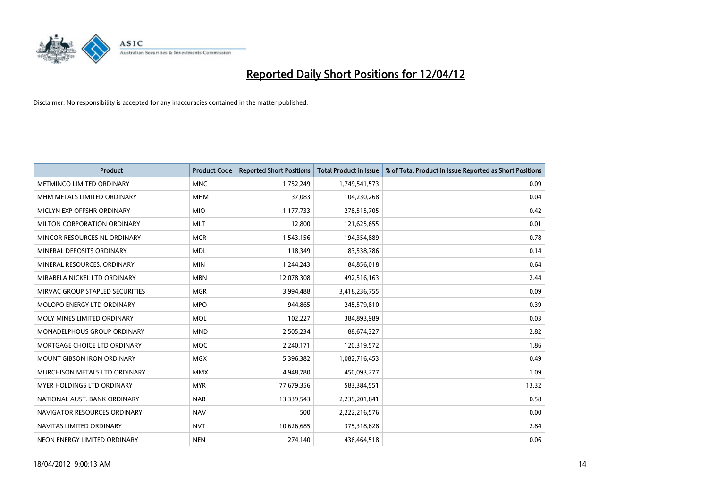

| <b>Product</b>                    | <b>Product Code</b> | <b>Reported Short Positions</b> | <b>Total Product in Issue</b> | % of Total Product in Issue Reported as Short Positions |
|-----------------------------------|---------------------|---------------------------------|-------------------------------|---------------------------------------------------------|
| METMINCO LIMITED ORDINARY         | <b>MNC</b>          | 1,752,249                       | 1,749,541,573                 | 0.09                                                    |
| MHM METALS LIMITED ORDINARY       | <b>MHM</b>          | 37,083                          | 104,230,268                   | 0.04                                                    |
| MICLYN EXP OFFSHR ORDINARY        | <b>MIO</b>          | 1,177,733                       | 278,515,705                   | 0.42                                                    |
| MILTON CORPORATION ORDINARY       | <b>MLT</b>          | 12,800                          | 121,625,655                   | 0.01                                                    |
| MINCOR RESOURCES NL ORDINARY      | <b>MCR</b>          | 1,543,156                       | 194,354,889                   | 0.78                                                    |
| MINERAL DEPOSITS ORDINARY         | <b>MDL</b>          | 118,349                         | 83,538,786                    | 0.14                                                    |
| MINERAL RESOURCES, ORDINARY       | <b>MIN</b>          | 1,244,243                       | 184,856,018                   | 0.64                                                    |
| MIRABELA NICKEL LTD ORDINARY      | <b>MBN</b>          | 12,078,308                      | 492,516,163                   | 2.44                                                    |
| MIRVAC GROUP STAPLED SECURITIES   | <b>MGR</b>          | 3,994,488                       | 3,418,236,755                 | 0.09                                                    |
| MOLOPO ENERGY LTD ORDINARY        | <b>MPO</b>          | 944,865                         | 245,579,810                   | 0.39                                                    |
| MOLY MINES LIMITED ORDINARY       | <b>MOL</b>          | 102,227                         | 384,893,989                   | 0.03                                                    |
| MONADELPHOUS GROUP ORDINARY       | <b>MND</b>          | 2,505,234                       | 88,674,327                    | 2.82                                                    |
| MORTGAGE CHOICE LTD ORDINARY      | MOC                 | 2,240,171                       | 120,319,572                   | 1.86                                                    |
| <b>MOUNT GIBSON IRON ORDINARY</b> | <b>MGX</b>          | 5,396,382                       | 1,082,716,453                 | 0.49                                                    |
| MURCHISON METALS LTD ORDINARY     | <b>MMX</b>          | 4,948,780                       | 450,093,277                   | 1.09                                                    |
| MYER HOLDINGS LTD ORDINARY        | <b>MYR</b>          | 77,679,356                      | 583,384,551                   | 13.32                                                   |
| NATIONAL AUST. BANK ORDINARY      | <b>NAB</b>          | 13,339,543                      | 2,239,201,841                 | 0.58                                                    |
| NAVIGATOR RESOURCES ORDINARY      | <b>NAV</b>          | 500                             | 2,222,216,576                 | 0.00                                                    |
| NAVITAS LIMITED ORDINARY          | <b>NVT</b>          | 10,626,685                      | 375,318,628                   | 2.84                                                    |
| NEON ENERGY LIMITED ORDINARY      | <b>NEN</b>          | 274,140                         | 436,464,518                   | 0.06                                                    |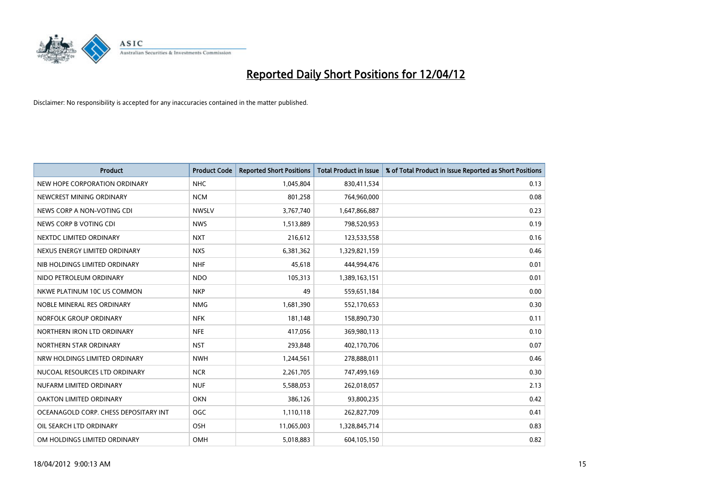

| <b>Product</b>                        | <b>Product Code</b> | <b>Reported Short Positions</b> | <b>Total Product in Issue</b> | % of Total Product in Issue Reported as Short Positions |
|---------------------------------------|---------------------|---------------------------------|-------------------------------|---------------------------------------------------------|
| NEW HOPE CORPORATION ORDINARY         | <b>NHC</b>          | 1,045,804                       | 830,411,534                   | 0.13                                                    |
| NEWCREST MINING ORDINARY              | <b>NCM</b>          | 801,258                         | 764,960,000                   | 0.08                                                    |
| NEWS CORP A NON-VOTING CDI            | <b>NWSLV</b>        | 3,767,740                       | 1,647,866,887                 | 0.23                                                    |
| NEWS CORP B VOTING CDI                | <b>NWS</b>          | 1,513,889                       | 798,520,953                   | 0.19                                                    |
| NEXTDC LIMITED ORDINARY               | <b>NXT</b>          | 216,612                         | 123,533,558                   | 0.16                                                    |
| NEXUS ENERGY LIMITED ORDINARY         | <b>NXS</b>          | 6,381,362                       | 1,329,821,159                 | 0.46                                                    |
| NIB HOLDINGS LIMITED ORDINARY         | <b>NHF</b>          | 45,618                          | 444,994,476                   | 0.01                                                    |
| NIDO PETROLEUM ORDINARY               | <b>NDO</b>          | 105,313                         | 1,389,163,151                 | 0.01                                                    |
| NKWE PLATINUM 10C US COMMON           | <b>NKP</b>          | 49                              | 559,651,184                   | 0.00                                                    |
| NOBLE MINERAL RES ORDINARY            | <b>NMG</b>          | 1,681,390                       | 552,170,653                   | 0.30                                                    |
| NORFOLK GROUP ORDINARY                | <b>NFK</b>          | 181,148                         | 158,890,730                   | 0.11                                                    |
| NORTHERN IRON LTD ORDINARY            | <b>NFE</b>          | 417,056                         | 369,980,113                   | 0.10                                                    |
| NORTHERN STAR ORDINARY                | <b>NST</b>          | 293,848                         | 402,170,706                   | 0.07                                                    |
| NRW HOLDINGS LIMITED ORDINARY         | <b>NWH</b>          | 1,244,561                       | 278,888,011                   | 0.46                                                    |
| NUCOAL RESOURCES LTD ORDINARY         | <b>NCR</b>          | 2,261,705                       | 747,499,169                   | 0.30                                                    |
| NUFARM LIMITED ORDINARY               | <b>NUF</b>          | 5,588,053                       | 262,018,057                   | 2.13                                                    |
| OAKTON LIMITED ORDINARY               | <b>OKN</b>          | 386,126                         | 93,800,235                    | 0.42                                                    |
| OCEANAGOLD CORP. CHESS DEPOSITARY INT | OGC                 | 1,110,118                       | 262,827,709                   | 0.41                                                    |
| OIL SEARCH LTD ORDINARY               | OSH                 | 11,065,003                      | 1,328,845,714                 | 0.83                                                    |
| OM HOLDINGS LIMITED ORDINARY          | OMH                 | 5,018,883                       | 604,105,150                   | 0.82                                                    |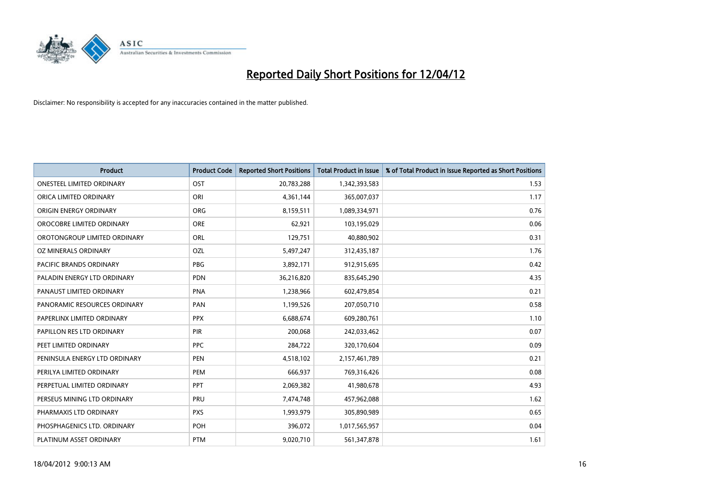

| <b>Product</b>                   | <b>Product Code</b> | <b>Reported Short Positions</b> | <b>Total Product in Issue</b> | % of Total Product in Issue Reported as Short Positions |
|----------------------------------|---------------------|---------------------------------|-------------------------------|---------------------------------------------------------|
| <b>ONESTEEL LIMITED ORDINARY</b> | OST                 | 20,783,288                      | 1,342,393,583                 | 1.53                                                    |
| ORICA LIMITED ORDINARY           | ORI                 | 4,361,144                       | 365,007,037                   | 1.17                                                    |
| ORIGIN ENERGY ORDINARY           | <b>ORG</b>          | 8,159,511                       | 1,089,334,971                 | 0.76                                                    |
| OROCOBRE LIMITED ORDINARY        | <b>ORE</b>          | 62,921                          | 103,195,029                   | 0.06                                                    |
| OROTONGROUP LIMITED ORDINARY     | <b>ORL</b>          | 129,751                         | 40,880,902                    | 0.31                                                    |
| OZ MINERALS ORDINARY             | OZL                 | 5,497,247                       | 312,435,187                   | 1.76                                                    |
| PACIFIC BRANDS ORDINARY          | <b>PBG</b>          | 3,892,171                       | 912,915,695                   | 0.42                                                    |
| PALADIN ENERGY LTD ORDINARY      | <b>PDN</b>          | 36,216,820                      | 835,645,290                   | 4.35                                                    |
| PANAUST LIMITED ORDINARY         | <b>PNA</b>          | 1,238,966                       | 602,479,854                   | 0.21                                                    |
| PANORAMIC RESOURCES ORDINARY     | PAN                 | 1,199,526                       | 207,050,710                   | 0.58                                                    |
| PAPERLINX LIMITED ORDINARY       | <b>PPX</b>          | 6,688,674                       | 609,280,761                   | 1.10                                                    |
| PAPILLON RES LTD ORDINARY        | <b>PIR</b>          | 200,068                         | 242,033,462                   | 0.07                                                    |
| PEET LIMITED ORDINARY            | <b>PPC</b>          | 284,722                         | 320,170,604                   | 0.09                                                    |
| PENINSULA ENERGY LTD ORDINARY    | <b>PEN</b>          | 4,518,102                       | 2,157,461,789                 | 0.21                                                    |
| PERILYA LIMITED ORDINARY         | PEM                 | 666,937                         | 769,316,426                   | 0.08                                                    |
| PERPETUAL LIMITED ORDINARY       | <b>PPT</b>          | 2,069,382                       | 41,980,678                    | 4.93                                                    |
| PERSEUS MINING LTD ORDINARY      | PRU                 | 7,474,748                       | 457,962,088                   | 1.62                                                    |
| PHARMAXIS LTD ORDINARY           | <b>PXS</b>          | 1,993,979                       | 305,890,989                   | 0.65                                                    |
| PHOSPHAGENICS LTD. ORDINARY      | POH                 | 396,072                         | 1,017,565,957                 | 0.04                                                    |
| PLATINUM ASSET ORDINARY          | <b>PTM</b>          | 9,020,710                       | 561,347,878                   | 1.61                                                    |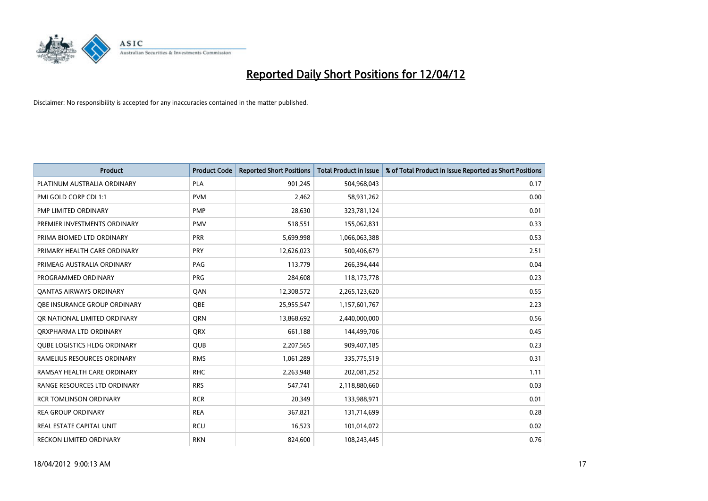

| <b>Product</b>                      | <b>Product Code</b> | <b>Reported Short Positions</b> | <b>Total Product in Issue</b> | % of Total Product in Issue Reported as Short Positions |
|-------------------------------------|---------------------|---------------------------------|-------------------------------|---------------------------------------------------------|
| PLATINUM AUSTRALIA ORDINARY         | <b>PLA</b>          | 901,245                         | 504,968,043                   | 0.17                                                    |
| PMI GOLD CORP CDI 1:1               | <b>PVM</b>          | 2,462                           | 58,931,262                    | 0.00                                                    |
| PMP LIMITED ORDINARY                | <b>PMP</b>          | 28,630                          | 323,781,124                   | 0.01                                                    |
| PREMIER INVESTMENTS ORDINARY        | <b>PMV</b>          | 518,551                         | 155,062,831                   | 0.33                                                    |
| PRIMA BIOMED LTD ORDINARY           | PRR                 | 5,699,998                       | 1,066,063,388                 | 0.53                                                    |
| PRIMARY HEALTH CARE ORDINARY        | <b>PRY</b>          | 12,626,023                      | 500,406,679                   | 2.51                                                    |
| PRIMEAG AUSTRALIA ORDINARY          | PAG                 | 113,779                         | 266,394,444                   | 0.04                                                    |
| PROGRAMMED ORDINARY                 | <b>PRG</b>          | 284,608                         | 118,173,778                   | 0.23                                                    |
| OANTAS AIRWAYS ORDINARY             | QAN                 | 12,308,572                      | 2,265,123,620                 | 0.55                                                    |
| OBE INSURANCE GROUP ORDINARY        | <b>OBE</b>          | 25,955,547                      | 1,157,601,767                 | 2.23                                                    |
| OR NATIONAL LIMITED ORDINARY        | <b>ORN</b>          | 13,868,692                      | 2,440,000,000                 | 0.56                                                    |
| ORXPHARMA LTD ORDINARY              | <b>QRX</b>          | 661,188                         | 144,499,706                   | 0.45                                                    |
| <b>QUBE LOGISTICS HLDG ORDINARY</b> | QUB                 | 2,207,565                       | 909,407,185                   | 0.23                                                    |
| RAMELIUS RESOURCES ORDINARY         | <b>RMS</b>          | 1,061,289                       | 335,775,519                   | 0.31                                                    |
| RAMSAY HEALTH CARE ORDINARY         | <b>RHC</b>          | 2,263,948                       | 202,081,252                   | 1.11                                                    |
| RANGE RESOURCES LTD ORDINARY        | <b>RRS</b>          | 547,741                         | 2,118,880,660                 | 0.03                                                    |
| <b>RCR TOMLINSON ORDINARY</b>       | <b>RCR</b>          | 20,349                          | 133,988,971                   | 0.01                                                    |
| <b>REA GROUP ORDINARY</b>           | <b>REA</b>          | 367,821                         | 131,714,699                   | 0.28                                                    |
| <b>REAL ESTATE CAPITAL UNIT</b>     | <b>RCU</b>          | 16,523                          | 101,014,072                   | 0.02                                                    |
| RECKON LIMITED ORDINARY             | <b>RKN</b>          | 824,600                         | 108,243,445                   | 0.76                                                    |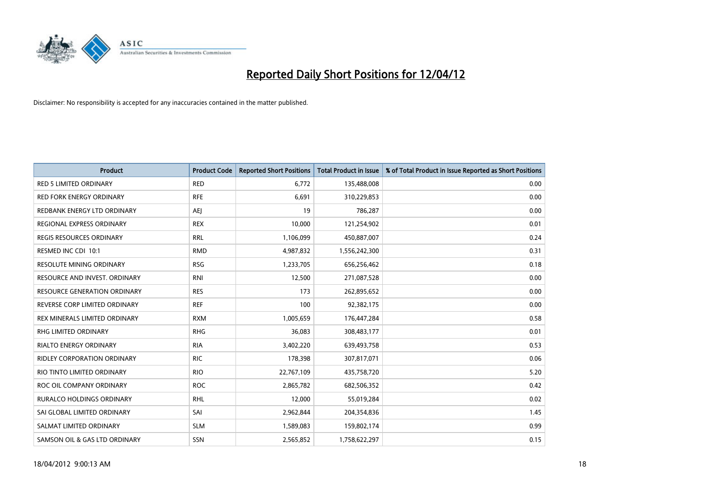

| <b>Product</b>                      | <b>Product Code</b> | <b>Reported Short Positions</b> | <b>Total Product in Issue</b> | % of Total Product in Issue Reported as Short Positions |
|-------------------------------------|---------------------|---------------------------------|-------------------------------|---------------------------------------------------------|
| <b>RED 5 LIMITED ORDINARY</b>       | <b>RED</b>          | 6,772                           | 135,488,008                   | 0.00                                                    |
| <b>RED FORK ENERGY ORDINARY</b>     | <b>RFE</b>          | 6,691                           | 310,229,853                   | 0.00                                                    |
| REDBANK ENERGY LTD ORDINARY         | AEJ                 | 19                              | 786,287                       | 0.00                                                    |
| REGIONAL EXPRESS ORDINARY           | <b>REX</b>          | 10,000                          | 121,254,902                   | 0.01                                                    |
| <b>REGIS RESOURCES ORDINARY</b>     | <b>RRL</b>          | 1,106,099                       | 450,887,007                   | 0.24                                                    |
| RESMED INC CDI 10:1                 | <b>RMD</b>          | 4,987,832                       | 1,556,242,300                 | 0.31                                                    |
| <b>RESOLUTE MINING ORDINARY</b>     | <b>RSG</b>          | 1,233,705                       | 656,256,462                   | 0.18                                                    |
| RESOURCE AND INVEST. ORDINARY       | <b>RNI</b>          | 12,500                          | 271,087,528                   | 0.00                                                    |
| <b>RESOURCE GENERATION ORDINARY</b> | <b>RES</b>          | 173                             | 262,895,652                   | 0.00                                                    |
| REVERSE CORP LIMITED ORDINARY       | <b>REF</b>          | 100                             | 92,382,175                    | 0.00                                                    |
| REX MINERALS LIMITED ORDINARY       | <b>RXM</b>          | 1,005,659                       | 176,447,284                   | 0.58                                                    |
| RHG LIMITED ORDINARY                | <b>RHG</b>          | 36,083                          | 308,483,177                   | 0.01                                                    |
| <b>RIALTO ENERGY ORDINARY</b>       | <b>RIA</b>          | 3,402,220                       | 639,493,758                   | 0.53                                                    |
| <b>RIDLEY CORPORATION ORDINARY</b>  | <b>RIC</b>          | 178,398                         | 307,817,071                   | 0.06                                                    |
| RIO TINTO LIMITED ORDINARY          | <b>RIO</b>          | 22,767,109                      | 435,758,720                   | 5.20                                                    |
| ROC OIL COMPANY ORDINARY            | <b>ROC</b>          | 2,865,782                       | 682,506,352                   | 0.42                                                    |
| RURALCO HOLDINGS ORDINARY           | <b>RHL</b>          | 12,000                          | 55,019,284                    | 0.02                                                    |
| SAI GLOBAL LIMITED ORDINARY         | SAI                 | 2,962,844                       | 204,354,836                   | 1.45                                                    |
| SALMAT LIMITED ORDINARY             | <b>SLM</b>          | 1,589,083                       | 159,802,174                   | 0.99                                                    |
| SAMSON OIL & GAS LTD ORDINARY       | SSN                 | 2,565,852                       | 1,758,622,297                 | 0.15                                                    |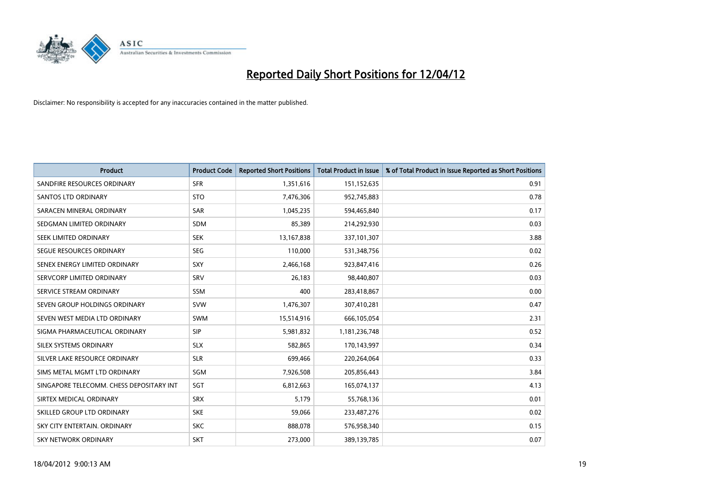

| <b>Product</b>                           | <b>Product Code</b> | <b>Reported Short Positions</b> | <b>Total Product in Issue</b> | % of Total Product in Issue Reported as Short Positions |
|------------------------------------------|---------------------|---------------------------------|-------------------------------|---------------------------------------------------------|
| SANDFIRE RESOURCES ORDINARY              | <b>SFR</b>          | 1,351,616                       | 151,152,635                   | 0.91                                                    |
| SANTOS LTD ORDINARY                      | <b>STO</b>          | 7,476,306                       | 952,745,883                   | 0.78                                                    |
| SARACEN MINERAL ORDINARY                 | <b>SAR</b>          | 1,045,235                       | 594,465,840                   | 0.17                                                    |
| SEDGMAN LIMITED ORDINARY                 | <b>SDM</b>          | 85,389                          | 214,292,930                   | 0.03                                                    |
| SEEK LIMITED ORDINARY                    | <b>SEK</b>          | 13,167,838                      | 337,101,307                   | 3.88                                                    |
| SEGUE RESOURCES ORDINARY                 | <b>SEG</b>          | 110,000                         | 531,348,756                   | 0.02                                                    |
| SENEX ENERGY LIMITED ORDINARY            | SXY                 | 2,466,168                       | 923,847,416                   | 0.26                                                    |
| SERVCORP LIMITED ORDINARY                | SRV                 | 26,183                          | 98,440,807                    | 0.03                                                    |
| SERVICE STREAM ORDINARY                  | <b>SSM</b>          | 400                             | 283,418,867                   | 0.00                                                    |
| SEVEN GROUP HOLDINGS ORDINARY            | <b>SVW</b>          | 1,476,307                       | 307,410,281                   | 0.47                                                    |
| SEVEN WEST MEDIA LTD ORDINARY            | <b>SWM</b>          | 15,514,916                      | 666,105,054                   | 2.31                                                    |
| SIGMA PHARMACEUTICAL ORDINARY            | <b>SIP</b>          | 5,981,832                       | 1,181,236,748                 | 0.52                                                    |
| SILEX SYSTEMS ORDINARY                   | <b>SLX</b>          | 582,865                         | 170,143,997                   | 0.34                                                    |
| SILVER LAKE RESOURCE ORDINARY            | <b>SLR</b>          | 699,466                         | 220,264,064                   | 0.33                                                    |
| SIMS METAL MGMT LTD ORDINARY             | SGM                 | 7,926,508                       | 205,856,443                   | 3.84                                                    |
| SINGAPORE TELECOMM. CHESS DEPOSITARY INT | SGT                 | 6,812,663                       | 165,074,137                   | 4.13                                                    |
| SIRTEX MEDICAL ORDINARY                  | <b>SRX</b>          | 5,179                           | 55,768,136                    | 0.01                                                    |
| SKILLED GROUP LTD ORDINARY               | <b>SKE</b>          | 59,066                          | 233,487,276                   | 0.02                                                    |
| SKY CITY ENTERTAIN, ORDINARY             | <b>SKC</b>          | 888,078                         | 576,958,340                   | 0.15                                                    |
| SKY NETWORK ORDINARY                     | <b>SKT</b>          | 273,000                         | 389,139,785                   | 0.07                                                    |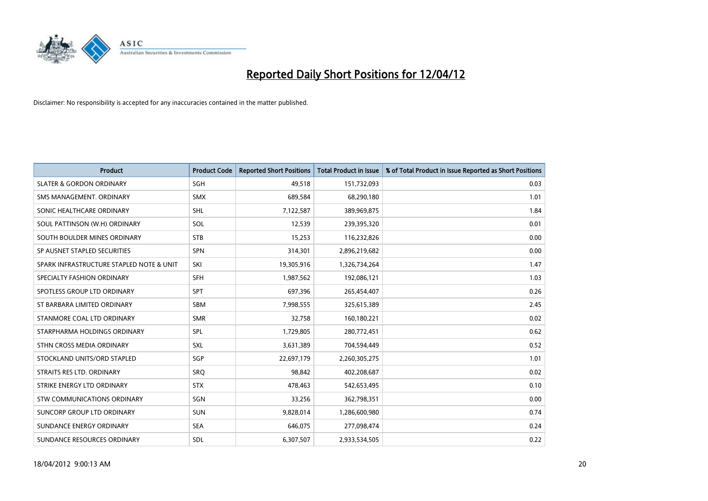

| <b>Product</b>                           | <b>Product Code</b> | <b>Reported Short Positions</b> | <b>Total Product in Issue</b> | % of Total Product in Issue Reported as Short Positions |
|------------------------------------------|---------------------|---------------------------------|-------------------------------|---------------------------------------------------------|
| <b>SLATER &amp; GORDON ORDINARY</b>      | SGH                 | 49,518                          | 151,732,093                   | 0.03                                                    |
| SMS MANAGEMENT, ORDINARY                 | <b>SMX</b>          | 689,584                         | 68,290,180                    | 1.01                                                    |
| SONIC HEALTHCARE ORDINARY                | <b>SHL</b>          | 7,122,587                       | 389,969,875                   | 1.84                                                    |
| SOUL PATTINSON (W.H) ORDINARY            | SOL                 | 12,539                          | 239,395,320                   | 0.01                                                    |
| SOUTH BOULDER MINES ORDINARY             | <b>STB</b>          | 15,253                          | 116,232,826                   | 0.00                                                    |
| SP AUSNET STAPLED SECURITIES             | <b>SPN</b>          | 314,301                         | 2,896,219,682                 | 0.00                                                    |
| SPARK INFRASTRUCTURE STAPLED NOTE & UNIT | SKI                 | 19,305,916                      | 1,326,734,264                 | 1.47                                                    |
| SPECIALTY FASHION ORDINARY               | SFH                 | 1,987,562                       | 192,086,121                   | 1.03                                                    |
| SPOTLESS GROUP LTD ORDINARY              | <b>SPT</b>          | 697,396                         | 265,454,407                   | 0.26                                                    |
| ST BARBARA LIMITED ORDINARY              | SBM                 | 7,998,555                       | 325,615,389                   | 2.45                                                    |
| STANMORE COAL LTD ORDINARY               | <b>SMR</b>          | 32,758                          | 160,180,221                   | 0.02                                                    |
| STARPHARMA HOLDINGS ORDINARY             | <b>SPL</b>          | 1,729,805                       | 280,772,451                   | 0.62                                                    |
| STHN CROSS MEDIA ORDINARY                | SXL                 | 3,631,389                       | 704,594,449                   | 0.52                                                    |
| STOCKLAND UNITS/ORD STAPLED              | <b>SGP</b>          | 22,697,179                      | 2,260,305,275                 | 1.01                                                    |
| STRAITS RES LTD. ORDINARY                | SRQ                 | 98,842                          | 402,208,687                   | 0.02                                                    |
| STRIKE ENERGY LTD ORDINARY               | <b>STX</b>          | 478,463                         | 542,653,495                   | 0.10                                                    |
| STW COMMUNICATIONS ORDINARY              | SGN                 | 33,256                          | 362,798,351                   | 0.00                                                    |
| SUNCORP GROUP LTD ORDINARY               | <b>SUN</b>          | 9,828,014                       | 1,286,600,980                 | 0.74                                                    |
| SUNDANCE ENERGY ORDINARY                 | <b>SEA</b>          | 646,075                         | 277,098,474                   | 0.24                                                    |
| SUNDANCE RESOURCES ORDINARY              | <b>SDL</b>          | 6,307,507                       | 2,933,534,505                 | 0.22                                                    |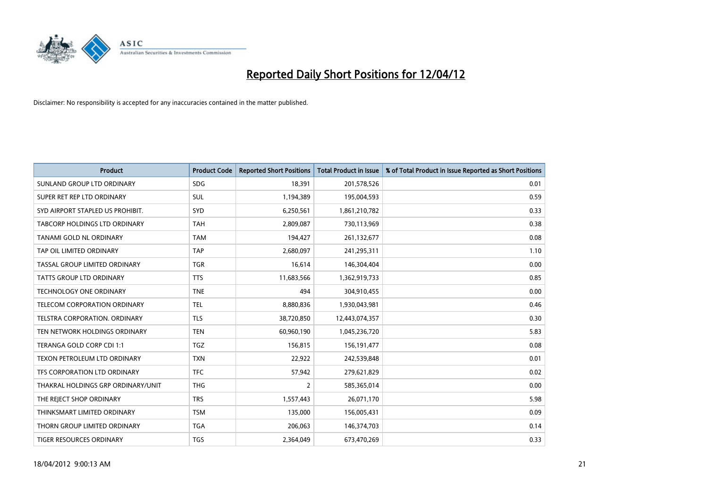

| <b>Product</b>                      | <b>Product Code</b> | <b>Reported Short Positions</b> | <b>Total Product in Issue</b> | % of Total Product in Issue Reported as Short Positions |
|-------------------------------------|---------------------|---------------------------------|-------------------------------|---------------------------------------------------------|
| SUNLAND GROUP LTD ORDINARY          | <b>SDG</b>          | 18,391                          | 201,578,526                   | 0.01                                                    |
| SUPER RET REP LTD ORDINARY          | SUL                 | 1,194,389                       | 195,004,593                   | 0.59                                                    |
| SYD AIRPORT STAPLED US PROHIBIT.    | <b>SYD</b>          | 6,250,561                       | 1,861,210,782                 | 0.33                                                    |
| TABCORP HOLDINGS LTD ORDINARY       | <b>TAH</b>          | 2,809,087                       | 730,113,969                   | 0.38                                                    |
| TANAMI GOLD NL ORDINARY             | <b>TAM</b>          | 194,427                         | 261,132,677                   | 0.08                                                    |
| TAP OIL LIMITED ORDINARY            | <b>TAP</b>          | 2,680,097                       | 241,295,311                   | 1.10                                                    |
| TASSAL GROUP LIMITED ORDINARY       | <b>TGR</b>          | 16,614                          | 146,304,404                   | 0.00                                                    |
| TATTS GROUP LTD ORDINARY            | <b>TTS</b>          | 11,683,566                      | 1,362,919,733                 | 0.85                                                    |
| <b>TECHNOLOGY ONE ORDINARY</b>      | <b>TNE</b>          | 494                             | 304,910,455                   | 0.00                                                    |
| <b>TELECOM CORPORATION ORDINARY</b> | <b>TEL</b>          | 8,880,836                       | 1,930,043,981                 | 0.46                                                    |
| TELSTRA CORPORATION. ORDINARY       | <b>TLS</b>          | 38,720,850                      | 12,443,074,357                | 0.30                                                    |
| TEN NETWORK HOLDINGS ORDINARY       | <b>TEN</b>          | 60,960,190                      | 1,045,236,720                 | 5.83                                                    |
| TERANGA GOLD CORP CDI 1:1           | <b>TGZ</b>          | 156,815                         | 156, 191, 477                 | 0.08                                                    |
| TEXON PETROLEUM LTD ORDINARY        | <b>TXN</b>          | 22,922                          | 242,539,848                   | 0.01                                                    |
| TFS CORPORATION LTD ORDINARY        | <b>TFC</b>          | 57,942                          | 279,621,829                   | 0.02                                                    |
| THAKRAL HOLDINGS GRP ORDINARY/UNIT  | <b>THG</b>          | $\overline{2}$                  | 585,365,014                   | 0.00                                                    |
| THE REJECT SHOP ORDINARY            | <b>TRS</b>          | 1,557,443                       | 26,071,170                    | 5.98                                                    |
| THINKSMART LIMITED ORDINARY         | <b>TSM</b>          | 135,000                         | 156,005,431                   | 0.09                                                    |
| THORN GROUP LIMITED ORDINARY        | <b>TGA</b>          | 206,063                         | 146,374,703                   | 0.14                                                    |
| TIGER RESOURCES ORDINARY            | <b>TGS</b>          | 2,364,049                       | 673,470,269                   | 0.33                                                    |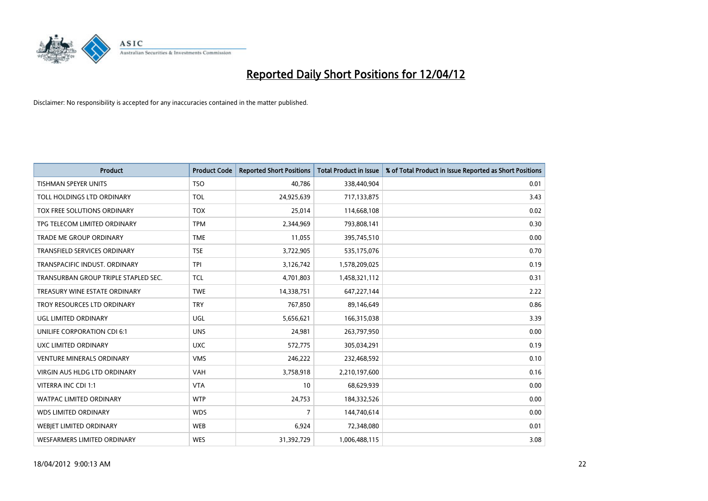

| <b>Product</b>                       | <b>Product Code</b> | <b>Reported Short Positions</b> | <b>Total Product in Issue</b> | % of Total Product in Issue Reported as Short Positions |
|--------------------------------------|---------------------|---------------------------------|-------------------------------|---------------------------------------------------------|
| <b>TISHMAN SPEYER UNITS</b>          | <b>TSO</b>          | 40,786                          | 338,440,904                   | 0.01                                                    |
| TOLL HOLDINGS LTD ORDINARY           | <b>TOL</b>          | 24,925,639                      | 717,133,875                   | 3.43                                                    |
| TOX FREE SOLUTIONS ORDINARY          | <b>TOX</b>          | 25,014                          | 114,668,108                   | 0.02                                                    |
| TPG TELECOM LIMITED ORDINARY         | <b>TPM</b>          | 2,344,969                       | 793,808,141                   | 0.30                                                    |
| <b>TRADE ME GROUP ORDINARY</b>       | <b>TME</b>          | 11,055                          | 395,745,510                   | 0.00                                                    |
| <b>TRANSFIELD SERVICES ORDINARY</b>  | <b>TSE</b>          | 3,722,905                       | 535,175,076                   | 0.70                                                    |
| TRANSPACIFIC INDUST. ORDINARY        | <b>TPI</b>          | 3,126,742                       | 1,578,209,025                 | 0.19                                                    |
| TRANSURBAN GROUP TRIPLE STAPLED SEC. | TCL                 | 4,701,803                       | 1,458,321,112                 | 0.31                                                    |
| TREASURY WINE ESTATE ORDINARY        | <b>TWE</b>          | 14,338,751                      | 647,227,144                   | 2.22                                                    |
| TROY RESOURCES LTD ORDINARY          | <b>TRY</b>          | 767,850                         | 89,146,649                    | 0.86                                                    |
| UGL LIMITED ORDINARY                 | UGL                 | 5,656,621                       | 166,315,038                   | 3.39                                                    |
| UNILIFE CORPORATION CDI 6:1          | <b>UNS</b>          | 24,981                          | 263,797,950                   | 0.00                                                    |
| UXC LIMITED ORDINARY                 | <b>UXC</b>          | 572,775                         | 305,034,291                   | 0.19                                                    |
| <b>VENTURE MINERALS ORDINARY</b>     | <b>VMS</b>          | 246,222                         | 232,468,592                   | 0.10                                                    |
| VIRGIN AUS HLDG LTD ORDINARY         | <b>VAH</b>          | 3,758,918                       | 2,210,197,600                 | 0.16                                                    |
| VITERRA INC CDI 1:1                  | <b>VTA</b>          | 10                              | 68,629,939                    | 0.00                                                    |
| WATPAC LIMITED ORDINARY              | <b>WTP</b>          | 24,753                          | 184,332,526                   | 0.00                                                    |
| <b>WDS LIMITED ORDINARY</b>          | <b>WDS</b>          | $\overline{7}$                  | 144,740,614                   | 0.00                                                    |
| WEBJET LIMITED ORDINARY              | <b>WEB</b>          | 6,924                           | 72,348,080                    | 0.01                                                    |
| WESFARMERS LIMITED ORDINARY          | <b>WES</b>          | 31,392,729                      | 1,006,488,115                 | 3.08                                                    |